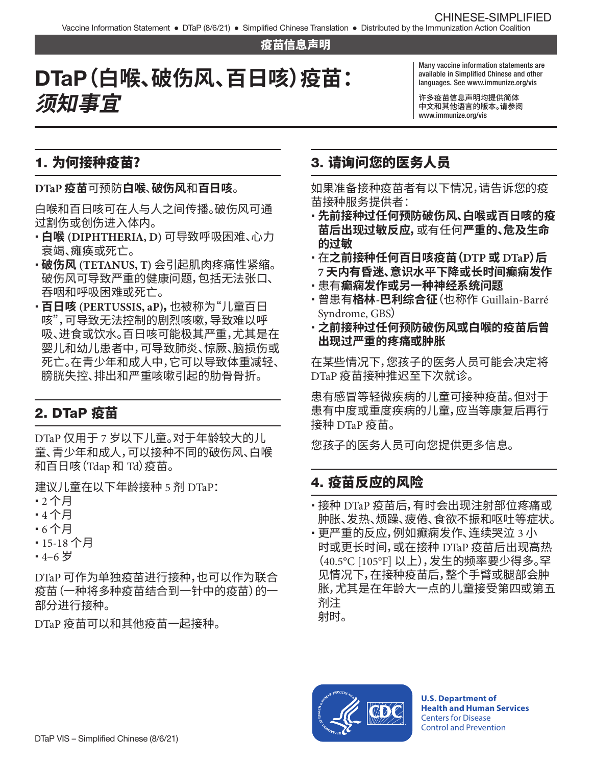#### 疫苗信息声明

# DTaP**(白喉、破伤风、百日咳)疫苗: 须知事宜**

Many vaccine information statements are available in Simplifed Chinese and other languages. See [www.immunize.org/vis](http://www.immunize.org/vis)

许多疫苗信息声明均提供简体 中文和其他语言的版本。请参阅 [www.immunize.org/vis](http://www.immunize.org/vis) 

## 1. 为何接种疫苗?

**DTaP 疫苗**可预防**白喉**、**破伤风**和**百日咳**。

白喉和百日咳可在人与人之间传播。破伤风可通 过割伤或创伤进入体内。

- � **白喉 (DIPHTHERIA, D)** 可导致呼吸困难、心力 衰竭、瘫痪或死亡。
- � **破伤风 (TETANUS, T)** 会引起肌肉疼痛性紧缩。 破伤风可导致严重的健康问题,包括无法张口、 吞咽和呼吸困难或死亡。
- � **百日咳 (PERTUSSIS, aP),**也被称为"儿童百日 咳",可导致无法控制的剧烈咳嗽,导致难以呼 吸、进食或饮水。百日咳可能极其严重,尤其是在 婴儿和幼儿患者中,可导致肺炎、惊厥、脑损伤或 死亡。在青少年和成人中,它可以导致体重减轻、 膀胱失控、排出和严重咳嗽引起的肋骨骨折。

# 2. DTaP 疫苗

DTaP 仅用于 7 岁以下儿童。对于年龄较大的儿 童、青少年和成人,可以接种不同的破伤风、白喉 和百日咳(Tdap 和 Td)疫苗。

建议儿童在以下年龄接种 5 剂 DTaP:

- � 2 个月
- � 4 个月
- � 6 个月
- � 15-18 个月
- � 4–6 岁

DTaP 可作为单独疫苗进行接种,也可以作为联合 疫苗(一种将多种疫苗结合到一针中的疫苗)的一 部分进行接种。

DTaP 疫苗可以和其他疫苗一起接种。

# 3. 请询问您的医务人员

如果准备接种疫苗者有以下情况,请告诉您的疫 苗接种服务提供者:

- � **先前接种过任何预防破伤风、白喉或百日咳的疫 苗后出现过敏反应,**或有任何**严重的、危及生命 的过敏**
- � 在**之前接种任何百日咳疫苗(DTP 或 DTaP)后 7 天内有昏迷、意识水平下降或长时间癫痫发作**
- 患有**癫痫发作或另一种神经系统问题**
- � 曾患有**格林-巴利综合征**(也称作 Guillain-Barré Syndrome, GBS)
- � **之前接种过任何预防破伤风或白喉的疫苗后曾 出现过严重的疼痛或肿胀**

在某些情况下,您孩子的医务人员可能会决定将 DTaP 疫苗接种推迟至下次就诊。

患有感冒等轻微疾病的儿童可接种疫苗。但对于 患有中度或重度疾病的儿童,应当等康复后再行 接种 DTaP 疫苗。

您孩子的医务人员可向您提供更多信息。

## 4. 疫苗反应的风险

- � 接种 DTaP 疫苗后,有时会出现注射部位疼痛或 肿胀、发热、烦躁、疲倦、食欲不振和呕吐等症状。
- 更严重的反应,例如癫痫发作、连续哭泣 3 小 时或更长时间,或在接种 DTaP 疫苗后出现高热 (40.5°C [105°F] 以上),发生的频率要少得多。罕 见情况下,在接种疫苗后,整个手臂或腿部会肿 胀,尤其是在年龄大一点的儿童接受第四或第五 剂注 射时。



**U.S. Department of Health and Human Services**  Centers for Disease Control and Prevention